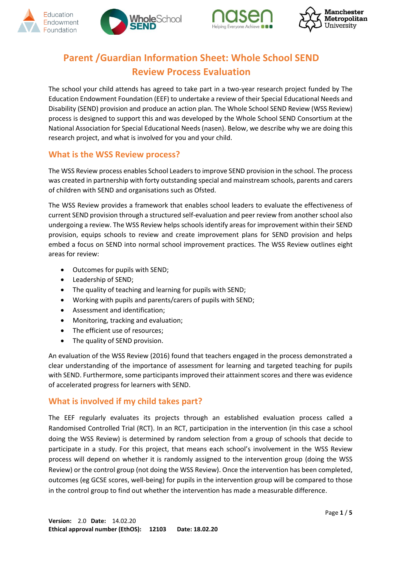







## **Parent /Guardian Information Sheet: Whole School SEND Review Process Evaluation**

The school your child attends has agreed to take part in a two-year research project funded by The Education Endowment Foundation (EEF) to undertake a review of their Special Educational Needs and Disability (SEND) provision and produce an action plan. The Whole School SEND Review (WSS Review) process is designed to support this and was developed by the Whole School SEND Consortium at the National Association for Special Educational Needs (nasen). Below, we describe why we are doing this research project, and what is involved for you and your child.

### **What is the WSS Review process?**

The WSS Review process enables School Leaders to improve SEND provision in the school. The process was created in partnership with forty outstanding special and mainstream schools, parents and carers of children with SEND and organisations such as Ofsted.

The WSS Review provides a framework that enables school leaders to evaluate the effectiveness of current SEND provision through a structured self-evaluation and peer review from another school also undergoing a review. The WSS Review helps schools identify areas for improvement within their SEND provision, equips schools to review and create improvement plans for SEND provision and helps embed a focus on SEND into normal school improvement practices. The WSS Review outlines eight areas for review:

- Outcomes for pupils with SEND;
- Leadership of SEND;
- The quality of teaching and learning for pupils with SEND;
- Working with pupils and parents/carers of pupils with SEND;
- Assessment and identification;
- Monitoring, tracking and evaluation;
- The efficient use of resources;
- The quality of SEND provision.

An evaluation of the WSS Review (2016) found that teachers engaged in the process demonstrated a clear understanding of the importance of assessment for learning and targeted teaching for pupils with SEND. Furthermore, some participants improved their attainment scores and there was evidence of accelerated progress for learners with SEND.

#### **What is involved if my child takes part?**

The EEF regularly evaluates its projects through an established evaluation process called a Randomised Controlled Trial (RCT). In an RCT, participation in the intervention (in this case a school doing the WSS Review) is determined by random selection from a group of schools that decide to participate in a study. For this project, that means each school's involvement in the WSS Review process will depend on whether it is randomly assigned to the intervention group (doing the WSS Review) or the control group (not doing the WSS Review). Once the intervention has been completed, outcomes (eg GCSE scores, well-being) for pupils in the intervention group will be compared to those in the control group to find out whether the intervention has made a measurable difference.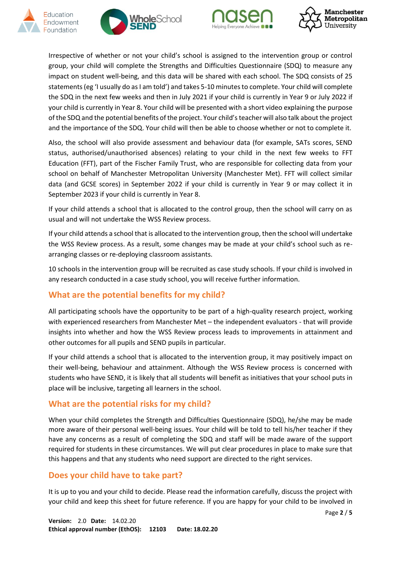







Irrespective of whether or not your child's school is assigned to the intervention group or control group, your child will complete the Strengths and Difficulties Questionnaire (SDQ) to measure any impact on student well-being, and this data will be shared with each school. The SDQ consists of 25 statements (eg 'I usually do as I am told') and takes 5-10 minutes to complete. Your child will complete the SDQ in the next few weeks and then in July 2021 if your child is currently in Year 9 or July 2022 if your child is currently in Year 8. Your child will be presented with a short video explaining the purpose of the SDQ and the potential benefits of the project. Your child's teacher will also talk about the project and the importance of the SDQ. Your child will then be able to choose whether or not to complete it.

Also, the school will also provide assessment and behaviour data (for example, SATs scores, SEND status, authorised/unauthorised absences) relating to your child in the next few weeks to FFT Education (FFT), part of the Fischer Family Trust, who are responsible for collecting data from your school on behalf of Manchester Metropolitan University (Manchester Met). FFT will collect similar data (and GCSE scores) in September 2022 if your child is currently in Year 9 or may collect it in September 2023 if your child is currently in Year 8.

If your child attends a school that is allocated to the control group, then the school will carry on as usual and will not undertake the WSS Review process.

If your child attends a school that is allocated to the intervention group, then the school will undertake the WSS Review process. As a result, some changes may be made at your child's school such as rearranging classes or re-deploying classroom assistants.

10 schools in the intervention group will be recruited as case study schools. If your child is involved in any research conducted in a case study school, you will receive further information.

## **What are the potential benefits for my child?**

All participating schools have the opportunity to be part of a high-quality research project, working with experienced researchers from Manchester Met – the independent evaluators - that will provide insights into whether and how the WSS Review process leads to improvements in attainment and other outcomes for all pupils and SEND pupils in particular.

If your child attends a school that is allocated to the intervention group, it may positively impact on their well-being, behaviour and attainment. Although the WSS Review process is concerned with students who have SEND, it is likely that all students will benefit as initiatives that your school puts in place will be inclusive, targeting all learners in the school.

#### **What are the potential risks for my child?**

When your child completes the Strength and Difficulties Questionnaire (SDQ), he/she may be made more aware of their personal well-being issues. Your child will be told to tell his/her teacher if they have any concerns as a result of completing the SDQ and staff will be made aware of the support required for students in these circumstances. We will put clear procedures in place to make sure that this happens and that any students who need support are directed to the right services.

#### **Does your child have to take part?**

It is up to you and your child to decide. Please read the information carefully, discuss the project with your child and keep this sheet for future reference. If you are happy for your child to be involved in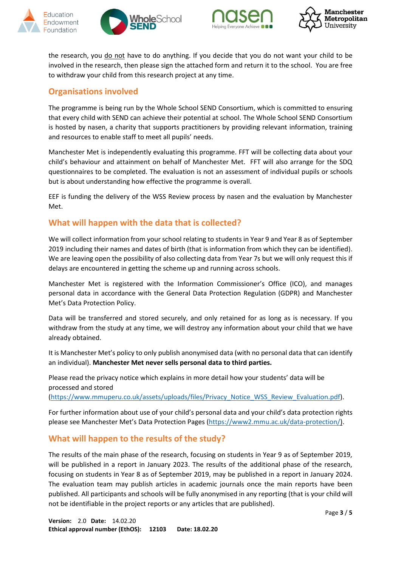







the research, you do not have to do anything. If you decide that you do not want your child to be involved in the research, then please sign the attached form and return it to the school. You are free to withdraw your child from this research project at any time.

### **Organisations involved**

The programme is being run by the Whole School SEND Consortium, which is committed to ensuring that every child with SEND can achieve their potential at school. The Whole School SEND Consortium is hosted by nasen, a charity that supports practitioners by providing relevant information, training and resources to enable staff to meet all pupils' needs.

Manchester Met is independently evaluating this programme. FFT will be collecting data about your child's behaviour and attainment on behalf of Manchester Met. FFT will also arrange for the SDQ questionnaires to be completed. The evaluation is not an assessment of individual pupils or schools but is about understanding how effective the programme is overall.

EEF is funding the delivery of the WSS Review process by nasen and the evaluation by Manchester Met.

#### **What will happen with the data that is collected?**

We will collect information from your school relating to students in Year 9 and Year 8 as of September 2019 including their names and dates of birth (that is information from which they can be identified). We are leaving open the possibility of also collecting data from Year 7s but we will only request this if delays are encountered in getting the scheme up and running across schools.

Manchester Met is registered with the Information Commissioner's Office (ICO), and manages personal data in accordance with the General Data Protection Regulation (GDPR) and Manchester Met's Data Protection Policy.

Data will be transferred and stored securely, and only retained for as long as is necessary. If you withdraw from the study at any time, we will destroy any information about your child that we have already obtained.

It is Manchester Met's policy to only publish anonymised data (with no personal data that can identify an individual). **Manchester Met never sells personal data to third parties.** 

Please read the privacy notice which explains in more detail how your students' data will be processed and stored

[\(https://www.mmuperu.co.uk/assets/uploads/files/Privacy\\_Notice\\_WSS\\_Review\\_Evaluation.pdf\)](https://www.mmuperu.co.uk/assets/uploads/files/Privacy_Notice_for_the_SEND_Review_Process_Evaluation_Project_v1.0.pdf).

For further information about use of your child's personal data and your child's data protection rights please see Manchester Met's Data Protection Pages [\(https://www2.mmu.ac.uk/data-protection/\)](https://www2.mmu.ac.uk/data-protection/).

#### **What will happen to the results of the study?**

The results of the main phase of the research, focusing on students in Year 9 as of September 2019, will be published in a report in January 2023. The results of the additional phase of the research, focusing on students in Year 8 as of September 2019, may be published in a report in January 2024. The evaluation team may publish articles in academic journals once the main reports have been published. All participants and schools will be fully anonymised in any reporting (that is your child will not be identifiable in the project reports or any articles that are published).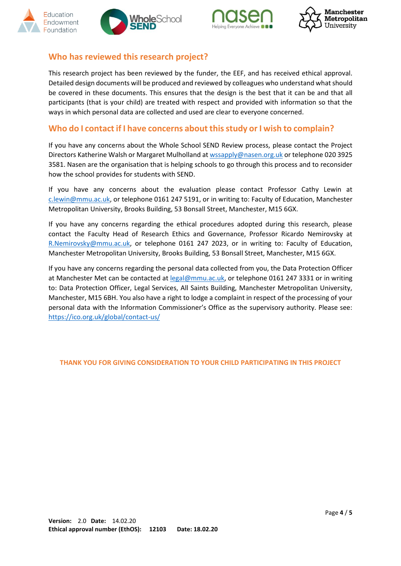







#### **Who has reviewed this research project?**

This research project has been reviewed by the funder, the EEF, and has received ethical approval. Detailed design documents will be produced and reviewed by colleagues who understand what should be covered in these documents. This ensures that the design is the best that it can be and that all participants (that is your child) are treated with respect and provided with information so that the ways in which personal data are collected and used are clear to everyone concerned.

#### **Who do I contact if I have concerns about this study or I wish to complain?**

If you have any concerns about the Whole School SEND Review process, please contact the Project Directors Katherine Walsh or Margaret Mulholland a[t wssapply@nasen.org.uk](mailto:wssapply@nasen.org.uk) or telephone 020 3925 3581. Nasen are the organisation that is helping schools to go through this process and to reconsider how the school provides for students with SEND.

If you have any concerns about the evaluation please contact Professor Cathy Lewin at [c.lewin@mmu.ac.uk,](mailto:c.lewin@mmu.ac.uk) or telephone 0161 247 5191, or in writing to: Faculty of Education, Manchester Metropolitan University, Brooks Building, 53 Bonsall Street, Manchester, M15 6GX.

If you have any concerns regarding the ethical procedures adopted during this research, please contact the Faculty Head of Research Ethics and Governance, Professor Ricardo Nemirovsky at [R.Nemirovsky@mmu.ac.uk,](mailto:R.Nemirovsky@mmu.ac.uk) or telephone 0161 247 2023, or in writing to: Faculty of Education, Manchester Metropolitan University, Brooks Building, 53 Bonsall Street, Manchester, M15 6GX.

If you have any concerns regarding the personal data collected from you, the Data Protection Officer at Manchester Met can be contacted at [legal@mmu.ac.uk,](mailto:legal@mmu.ac.uk) or telephone 0161 247 3331 or in writing to: Data Protection Officer, Legal Services, All Saints Building, Manchester Metropolitan University, Manchester, M15 6BH. You also have a right to lodge a complaint in respect of the processing of your personal data with the Information Commissioner's Office as the supervisory authority. Please see: <https://ico.org.uk/global/contact-us/>

#### **THANK YOU FOR GIVING CONSIDERATION TO YOUR CHILD PARTICIPATING IN THIS PROJECT**